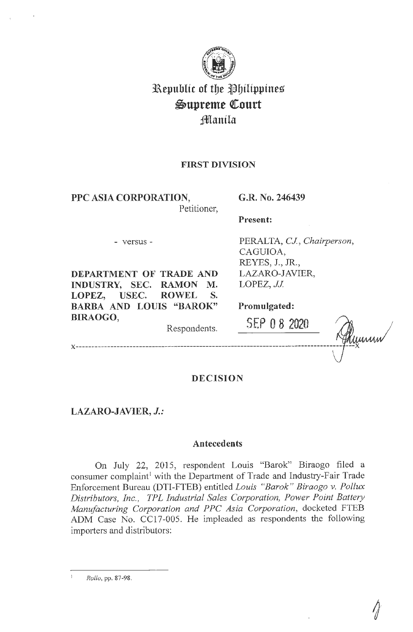

# **l\epublic of tbe llbilippines**   $\mathfrak{Supreme}$  Court **jftilanila**

# **FIRST DIVISION**

**PPC ASIA CORPORATION,** 

# **G.R. No. 246439**

Petitioner,

Respondents.

# **Present:**

- versus -

**DEPARTMENT OF TRADE AND INDUSTRY, SEC. RAMON M. LOPEZ, USEC. ROWEL S. BARBA AND LOUIS "BAROK" BIRAOGO,** 

PERALTA, *CJ, Chairperson,*  CAGUIOA, REYES, J., JR., LAZARO-JAVIER, LOPEZ, *JJ*.

**Promulgated:** 

**SEP O 8 <sup>2020</sup>**

**x ------------------------------------------------------------------------------------ ---x** 

# **DECISION**

**LAZARO-JAVIER, J.:** 

# **Antecedents**

On July 22, 2015, respondent Louis "Barok" Biraogo filed a consumer complaint<sup>1</sup> with the Department of Trade and Industry-Fair Trade Enforcement Bureau (DTI-FTEB) entitled *Louis "Barak" Biraogo v. Pollux Distributors, Inc., TPL Industrial Sales Corporation, Power Point Battery Manufacturing Corporation and P PC Asia Corporation,* docketed FTEB ADM Case No. CC17-005. He impleaded as respondents the following importers and distributors:

*Rollo,* pp. 87-98.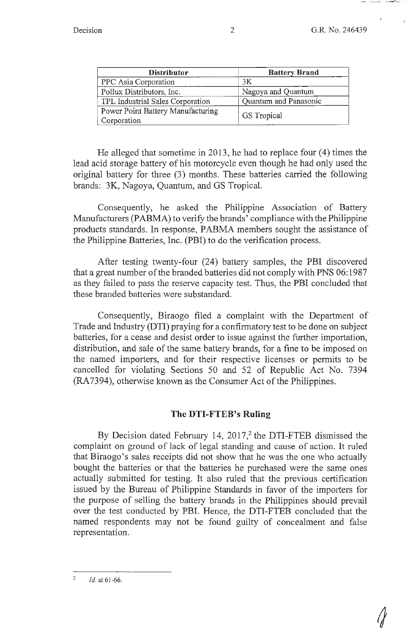| <b>Distributor</b>                | <b>Battery Brand</b>  |
|-----------------------------------|-----------------------|
| PPC Asia Corporation              | ЗK                    |
| Pollux Distributors, Inc.         | Nagoya and Quantum    |
| TPL Industrial Sales Corporation  | Quantum and Panasonic |
| Power Point Battery Manufacturing | GS Tropical           |
| Corporation                       |                       |

He alleged that sometime in 2013, he had to replace four (4) times the lead acid storage battery of his motorcycle even though he had only used the original battery for three (3) months. These batteries carried the following brands: 3K, Nagoya, Quantum, and GS Tropical.

Consequently, he asked the Philippine Association of Battery Manufacturers (PABMA) to verify the brands' compliance with the Philippine products standards. In response, PABMA members sought the assistance of the Philippine Batteries, Inc. (PBI) to do the verification process.

After testing twenty-four (24) battery samples, the PBI discovered that a great number of the branded batteries did not comply with PNS 06: 1987 as they failed to pass the reserve capacity test. Thus, the PBI concluded that these branded batteries were substandard.

Consequently, Biraogo filed a complaint with the Department of Trade and Industry (DTI) praying for a confirmatory test to be done on subject batteries, for a cease and desist order to issue against the further importation, distribution, and sale of the same battery brands, for a fine to be imposed on the named importers, and for their respective licenses or permits to be cancelled for violating Sections 50 and 52 of Republic Act No. 7394 (RA7394), otherwise known as the Consumer Act of the Philippines.

# **The DTI-FTEB's Ruling**

By Decision dated February 14,  $2017<sup>2</sup>$ , the DTI-FTEB dismissed the complaint on ground of lack of legal standing and cause of action. It ruled that Biraogo's sales receipts did not show that he was the one who actually bought the batteries or that the batteries he purchased were the same ones actually submitted for testing. It also ruled that the previous certification issued by the Bureau of Philippine Standards in favor of the importers for the purpose of selling the battery brands in the Philippines should prevail over the test conducted by PBI. Hence, the DTI-FTEB concluded that the named respondents may not be found guilty of concealment and false representation.

 $\overline{2}$ *Id.* at 61 -66.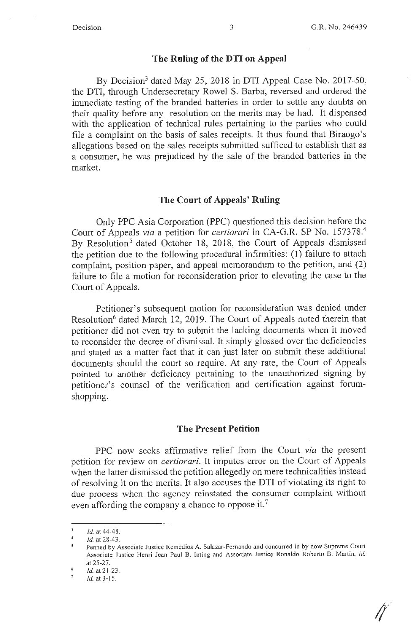# **The Ruling of the DTI on Appeal**

By Decision<sup>3</sup> dated May 25, 2018 in DTI Appeal Case No. 2017-50, the DTI, through Undersecretary Rowel S. Barba, reversed and ordered the immediate testing of the branded batteries in order to settle any doubts on their quality before any resolution on the merits may be had. It dispensed with the application of technical rules pertaining to the parties who could file a complaint on the basis of sales receipts. It thus found that Biraogo's allegations based on the sales receipts submitted sufficed to establish that as a consumer, he was prejudiced by the sale of the branded batteries in the market.

# **The Court of Appeals' Ruling**

Only PPC Asia Corporation (PPC) questioned this decision before the Court of Appeals *via* a petition for *certiorari* in CA-G.R. SP No. 157378.<sup>4</sup> By Resolution<sup>5</sup> dated October 18, 2018, the Court of Appeals dismissed the petition due to the following procedural infirmities: (1) failure to attach complaint, position paper, and appeal memorandum to the petition, and (2) failure to file a motion for reconsideration prior to elevating the case to the Court of Appeals.

Petitioner's subsequent motion for reconsideration was denied under Resolution<sup>6</sup> dated March 12, 2019. The Court of Appeals noted therein that petitioner did not even try to submit the lacking documents when it moved to reconsider the decree of dismissal. It simply glossed over the deficiencies and stated as a matter fact that it can just later on submit these additional documents should the court so require. At any rate, the Court of Appeals pointed to another deficiency pertaining to the unauthorized signing by petitioner's counsel of the verification and certification against forumshopping.

#### **The Present Petition**

PPC now seeks affirmative relief from the Court *via* the present petition for review on *certiorari.* It imputes error on the Court of Appeals when the latter dismissed the petition allegedly on mere technicalities instead of resolving it on the merits. It also accuses the DTI of violating its right to due process when the agency reinstated the consumer complaint without even affording the company a chance to oppose it.<sup>7</sup>

 $\overline{3}$ *Id.* at 44-48.  $\overline{4}$ 

*Id.* at 28-43.

Penned by Associate Justice Remedios A. Salazar-Fernando and concurred in by now Supreme Court Associate Justice Henri Jean Paul B. Inting and Associate Justice Ronaldo Roberto B. Martin, id. at 25-27.

<sup>6</sup>  *Id.* at 21-23.

<sup>/</sup>d.at3- 15.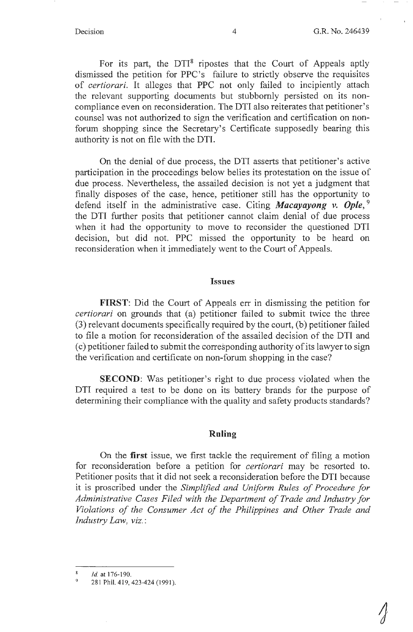For its part, the  $DTI<sup>8</sup>$  ripostes that the Court of Appeals aptly dismissed the petition for PPC's failure to strictly observe the requisites of *certiorari.* It alleges that PPC not only failed to incipiently attach the relevant supporting documents but stubbornly persisted on its noncompliance even on reconsideration. The DTI also reiterates that petitioner's counsel was not authorized to sign the verification and certification on nonforum shopping since the Secretary's Certificate supposedly bearing this authority is not on file with the DTI.

On the denial of due process, the DTI asserts that petitioner's active participation in the proceedings below belies its protestation on the issue of due process. Nevertheless, the assailed decision is not yet a judgment that finally disposes of the case, hence, petitioner still has the opportunity to defend itself in the administrative case. Citing *Macayayong v. Opie,* <sup>9</sup> the DTI further posits that petitioner cannot claim denial of due process when it had the opportunity to move to reconsider the questioned DTI decision, but did not. PPC missed the opportunity to be heard on reconsideration when it immediately went to the Court of Appeals.

#### **Issues**

**FIRST:** Did the Court of Appeals err in dismissing the petition for *certiorari* on grounds that (a) petitioner failed to submit twice the three (3) relevant documents specifically required by the court, (b) petitioner failed to file a motion for reconsideration of the assailed decision of the DTI and ( c) petitioner failed to submit the corresponding authority of its lawyer to sign the verification and certificate on non-forum shopping in the case?

**SECOND:** Was petitioner's right to due process violated when the DTI required a test to be done on its battery brands for the purpose of determining their compliance with the quality and safety products standards?

#### **Ruling**

On the **first** issue, we first tackle the requirement of filing a motion for reconsideration before a petition for *certiorari* may be resorted to. Petitioner posits that it did not seek a reconsideration before the DTI because it is proscribed under the *Simplified and Uniform Rules of Procedure for Administrative Cases Filed with the Department of Trade and Industry for Violations of the Consumer Act of the Philippines and Other Trade and Industry Law, viz.:* 

*Id.* at 176-190.

<sup>281</sup> Phil. 419, 423-424 (1991).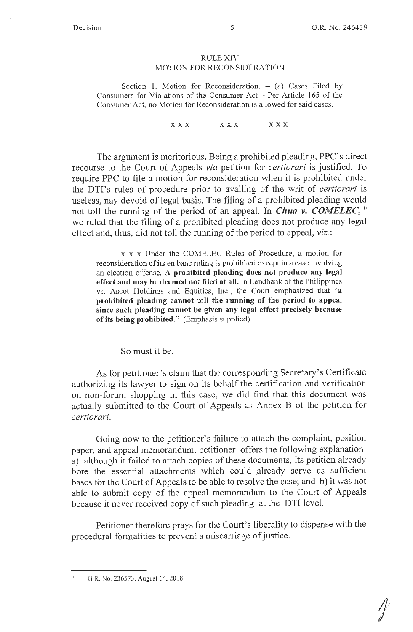#### RULE XIV MOTION FOR RECONSIDERATION

Section 1. Motion for Reconsideration.  $-$  (a) Cases Filed by Consumers for Violations of the Consumer Act  $-$  Per Article 165 of the Consumer Act, no Motion for Reconsideration is allowed for said cases.

#### **XXX XXX XXX**

The argument is meritorious. Being a prohibited pleading, PPC's direct recourse to the Court of Appeals *via* petition for *certiorari* is justified. To require PPC to file a motion for reconsideration when it is prohibited under the DTI's rules of procedure prior to availing of the writ of *certiorari* is useless, nay devoid of legal basis. The filing of a prohibited pleading would not toll the running of the period of an appeal. In *Chua v. COMELEC,* <sup>10</sup> we ruled that the filing of a prohibited pleading does not produce any legal effect and, thus, did not toll the running of the period to appeal, *viz.:* 

x x x Under the COMELEC Rules of Procedure, a motion for reconsideration of its en bane ruling is prohibited except in a case involving an election offense. **A prohibited pleading does not produce any legal**  effect and may be deemed not filed at all. In Landbank of the Philippines vs. Ascot Holdings and Equities, Inc., the Court emphasized that **"a prohibited pleading cannot toll the running of the period to appeal since such pleading cannot be given any legal effect precisely because of its being prohibited."** (Emphasis supplied)

So must it be.

As for petitioner's claim that the corresponding Secretary's Certificate authorizing its lawyer to sign on its behalf the certification and verification on non-forum shopping in this case, we did find that this document was actually submitted to the Court of Appeals as Annex B of the petition for *certiorari.* 

Going now to the petitioner's failure to attach the complaint, position paper, and appeal memorandum, petitioner offers the following explanation: a) although it failed to attach copies of these documents, its petition already bore the essential attachments which could already serve as sufficient bases for the Court of Appeals to be able to resolve the case; and b) it was not able to submit copy of the appeal memorandum to the Court of Appeals because it never received copy of such pleading at the DTI level.

Petitioner therefore prays for the Court's liberality to dispense with the procedural formalities to prevent a miscarriage of justice.

<sup>10</sup> G.R. No. 236573, August 14, 2018.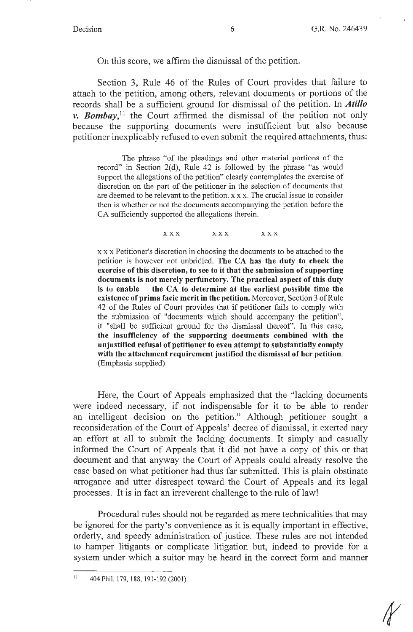On this score, we affirm the dismissal of the petition.

Section 3, Rule 46 of the Rules of Court provides that failure to attach to the petition, among others, relevant documents or portions of the records shall be a sufficient ground for dismissal of the petition. In *Atillo v. Bombay*,<sup>11</sup> the Court affirmed the dismissal of the petition not only because the supporting documents were insufficient but also because petitioner inexplicably refused to even submit the required attachments, thus:

The phrase "of the pleadings and other material portions of the record" in Section 2(d), Rule 42 is followed by the phrase "as would support the allegations of the petition" clearly contemplates the exercise of discretion on the part of the petitioner in the selection of documents that are deemed to be relevant to the petition. x x x. The crucial issue to consider then is whether or not the documents accompanying the petition before the CA sufficiently supported the allegations therein.

**XXX XXX** XXX

x x x Petitioner's discretion in choosing the documents to be attached to the petition is however not unbridled. **The CA has the duty to check the exercise of this discretion, to see to it that the submission of supporting documents is not merely perfunctory. The practical aspect of this duty is to enable the CA to determine at the earliest possible time the existence of prima facie merit in the petition.** Moreover, Section 3 of Rule 42 of the Rules of Court provides that if petitioner fails to comply with the submission of "documents which should accompany the petition", it "shall be sufficient ground for the dismissal thereof'. In this case, **the insufficiency of the supporting documents combined with the unjustified refusal of petitioner to even attempt to substantially comply with the attachment requirement justified the dismissal of her petition.**  (Emphasis supplied)

Here, the Court of Appeals emphasized that the "lacking documents were indeed necessary, if not indispensable for it to be able to render an intelligent decision on the petition." Although petitioner sought a reconsideration of the Court of Appeals' decree of dismissal, it exerted nary an effort at all to submit the lacking documents. It simply and casually informed the Court of Appeals that it did not have a copy of this or that document and that anyway the Court of Appeals could already resolve the case based on what petitioner had thus far submitted. This is plain obstinate arrogance and utter disrespect toward the Court of Appeals and its legal processes. It is in fact an irreverent challenge to the rule of law!

Procedural rules should not be regarded as mere technicalities that may be ignored for the party's convenience as it is equally important in effective, orderly, and speedy administration of justice. These rules are not intended to hamper litigants or complicate litigation but, indeed to provide for a system under which a suitor may be heard in the correct form and manner

II 404 Phil. 179, 188, 191-192 (2001).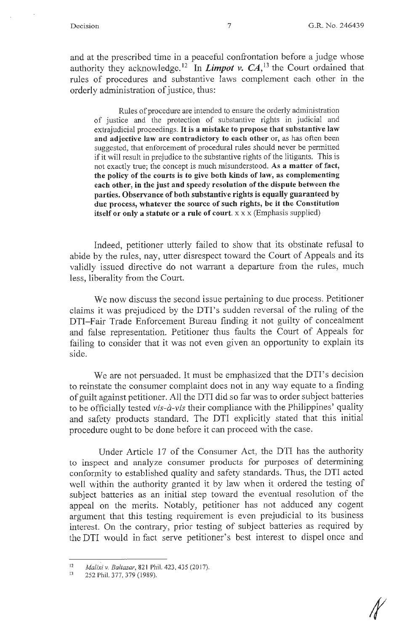and at the prescribed time in a peaceful confrontation before a judge whose authority they acknowledge.<sup>12</sup> In *Limpot v. CA*,<sup>13</sup> the Court ordained that rules of procedures and substantive laws complement each other in the orderly administration of justice, thus:

Rules of procedure are intended to ensure the orderly administration of justice and the protection of substantive rights in judicial and extrajudicial proceedings. It **is a mistake to propose that substantive law and adjective law are contradictory to each other** or, as has often been suggested, that enforcement of procedural rules should never be permitted if it will result in prejudice to the substantive rights of the litigants. This is not exactly true; the concept is much misunderstood. **As a matter of fact, the policy of the courts is to give both kinds of law, as complementing each other, in the just and speedy resolution of the dispute between the parties. Observance of both substantive rights is equally guaranteed by due process, whatever the source of such rights, be it the Constitution itself or only a statute or a rule of court.**  $x \times x$  (Emphasis supplied)

Indeed, petitioner utterly failed to show that its obstinate refusal to abide by the rules, nay, utter disrespect toward the Court of Appeals and its validly issued directive do not warrant a departure from the rules, much less, liberality from the Court.

We now discuss the second issue pertaining to due process. Petitioner claims it was prejudiced by the DTI's sudden reversal of the ruling of the DTI-Fair Trade Enforcement Bureau finding it not guilty of concealment and false representation. Petitioner thus faults the Court of Appeals for failing to consider that it was not even given an opportunity to explain its side.

We are not persuaded. It must be emphasized that the DTI's decision to reinstate the consumer complaint does not in any way equate to a finding of guilt against petitioner. All the DTI did so far was to order subject batteries to be officially tested *vis-a-vis* their compliance with the Philippines' quality and safety products standard. The DTI explicitly stated that this initial procedure ought to be done before it can proceed with the case.

Under Article 17 of the Consumer Act, the DTI has the authority to inspect and analyze consumer products for purposes of determining conformity to established quality and safety standards. Thus, the DTI acted well within the authority granted it by law when it ordered the testing of subject batteries as an initial step toward the eventual resolution of the appeal on the merits. Notably, petitioner has not adduced any cogent argument that this testing requirement is even prejudicial to its business interest. On the contrary, prior testing of subject batteries as required by the DTI would in fact serve petitioner's best interest to dispel once and

<sup>12</sup>  *Malixi v. Baltazar*, 821 Phil. 423, 435 (2017).

<sup>13</sup>  252 Phil. 377,379 (1989).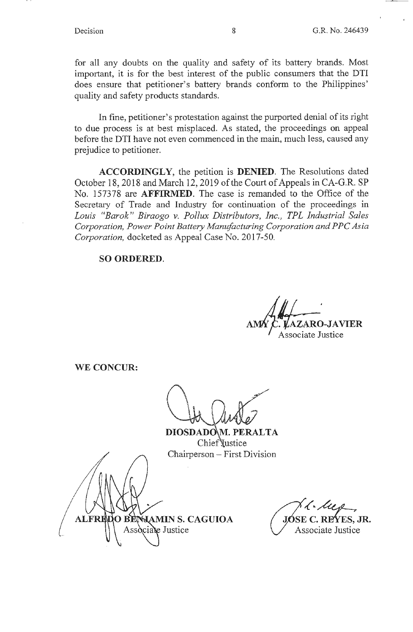for all any doubts on the quality and safety of its battery brands. Most important, it is for the best interest of the public consumers that the DTI does ensure that petitioner's battery brands conform to the Philippines' quality and safety products standards.

In fine, petitioner's protestation against the purported denial of its right to due process is at best misplaced. As stated, the proceedings on appeal before the DTI have not even commenced in the main, much less, caused any prejudice to petitioner.

**ACCORDINGLY,** the petition is **DENIED.** The Resolutions dated October 18, 2018 and March 12, 2019 of the Court of Appeals in CA-G.R. SP No. 157378 are **AFFIRMED.** The case is remanded to the Office of the Secretary of Trade and Industry for continuation of the proceedings in *Louis "Barak" Biraogo v. Pollux Distributors, Inc., TPL Industrial Sales Corporation, Power Point Battery Manufacturing Corporation and P PC Asia Corporation,* docketed as Appeal Case No. 2017-50.

**SO ORDERED.** 

 $\mathbf A\mathbf V\mathbf I\mathbf E\mathbf R$ Associate Justice

**WE CONCUR:** 

DIOSDADOM. PERALTA Chief Vustice Chairperson - First Division

**ALFRED** O RK **WAMIN S. CAGUIOA** Associate Justice

*,(~~*  REYES. JR. Associate Justice